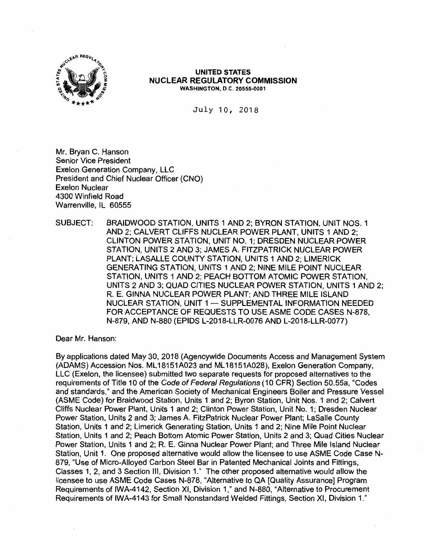

#### **UNITED STATES NUCLEAR REGULATORY COMMISSION WASHINGTON, D.C. 20555-0001**

July 10, 2018

Mr. Bryan C. Hanson Senior Vice President Exelon Generation Company, LLC President and Chief Nuclear Officer (CNO) Exelon Nuclear 4300 Winfield Road Warrenville, IL 60555

SUBJECT: BRAIDWOOD STATION, UNITS 1 AND 2; BYRON STATION, UNIT NOS. 1 AND 2; CALVERT CLIFFS NUCLEAR POWER PLANT, UNITS 1 AND 2; CLINTON POWER STATION, UNIT NO. 1; DRESDEN NUCLEAR POWER STATION, UNITS 2 AND 3; JAMES A. FITZPATRICK NUCLEAR POWER PLANT; LASALLE COUNTY STATION, UNITS 1 AND 2; LIMERICK GENERATING STATION, UNITS 1 AND 2; NINE MILE POINT NUCLEAR STATION, UNITS 1 AND 2; PEACH BOTTOM ATOMIC POWER STATION, UNITS 2 AND 3; QUAD CITIES NUCLEAR POWER STATION, UNITS 1 AND 2; R. E. GINNA NUCLEAR POWER PLANT; AND THREE MILE ISLAND NUCLEAR STATION, UNIT 1 - SUPPLEMENTAL INFORMATION NEEDED FOR ACCEPTANCE OF REQUESTS TO USE ASME CODE CASES N-878, N-879, AND N-880 (EPIDS L-2018-LLR-0076 AND L-2018-LLR-0077)

Dear Mr. Hanson:

By applications dated May 30, 2018 (Agencywide Documents Access and Management System **(ADAMS)** Accession Nos. ML 18151A023 and ML 18151A028), Exelon Generation Company, LLC (Exelon, the licensee) submitted two separate requests for proposed alternatives to the requirements of Title 10 of the Code of Federal Regulations (10 CFR) Section 50.55a, "Codes and standards," and the American Society of Mechanical Engineers Boiler and Pressure Vessel (ASME Code) for Braidwood Station, Units 1 and 2; Byron Station, Unit Nos. 1 and 2; Calvert Cliffs Nuclear Power Plant, Units 1 and 2; Clinton Power Station, Unit No. 1; Dresden Nuclear Power Station, Units 2 and 3; James A. FitzPatrick Nuclear Power Plant; LaSalle County Station, Units 1 and 2; Limerick Generating Station, Units 1 and 2; Nine Mile Point Nuclear Station, Units 1 and 2; Peach Bottom Atomic Power Station, Units 2 and 3; Quad Cities Nuclear Power Station, Units 1 and 2; R. E. Ginna Nuclear Power Plant; and Three Mile Island Nuclear Station, Unit 1. One proposed alternative would allow the licensee to use ASME Code Case N-879, "Use of Micro-Alloyed Carbon Steel Bar in Patented Mechanical Joints and Fittings, Classes 1, 2, and 3 Section Ill, Division 1." The other proposed alternative would allow the licensee to use ASME Code Cases N-878, "Alternative to QA [Quality Assurance] Program Requirements of IWA-4142, Section XI, Division 1," and N-880, "Alternative to Procurement Requirements of IWA-4143 for Small Nonstandard Welded Fittings, Section XI, Division 1."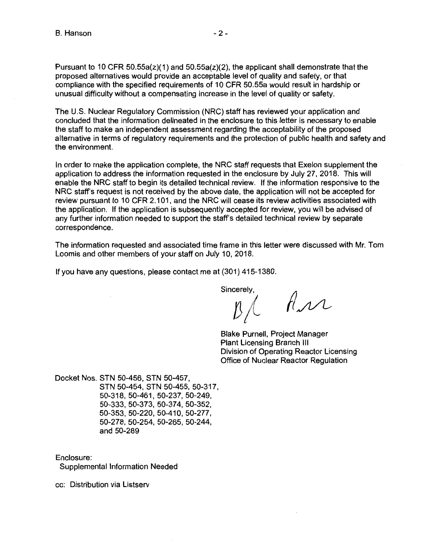Pursuant to 10 CFR  $50.55a(z)(1)$  and  $50.55a(z)(2)$ , the applicant shall demonstrate that the proposed alternatives would provide an acceptable level of quality and safety, or that compliance with the specified requirements of 10 CFR 50.55a would result in hardship or unusual difficulty without a compensating increase in the level of quality or safety.

The U.S. Nuclear Regulatory Commission (NRC) staff has reviewed your application and concluded that the information delineated in the enclosure to this letter is necessary to enable the staff to make an independent assessment regarding the acceptability of the proposed alternative in terms of regulatory requirements and the protection of public health and safety and the environment.

In order to make the application complete, the NRC staff requests that Exelon supplement the application to address the information requested in the enclosure by July 27, 2018. This will enable the NRC staff to begin its detailed technical review. If the information responsive to the NRC staff's request is not received by the above date, the application will not be accepted for review pursuant to 10 CFR 2.101, and the NRC will cease its review activities associated with the application. If the application is subsequently accepted for review, you will be advised of any further information needed to support the staff's detailed technical review by separate correspondence.

The information requested and associated time frame in this letter were discussed with Mr. Tom Loomis and other members of your staff on July 10, 2018.

If you have any questions, please contact me at (301) 415-1380.

Sincerely,

 $\beta$ /  $\beta$ *n* 

Blake Purnell, Project Manager Plant Licensing Branch Ill Division of Operating Reactor Licensing Office of Nuclear Reactor Regulation

Docket Nos. STN 50-456, STN 50-457, STN 50-454, STN 50-455, 50-317, 50-318, 50-461, 50-237, 50-249, 50-333, 50-373, 50-37 4, 50-352, 50-353, 50-220, 50-410, 50-277, 50-278, 50-254, 50-265, 50-244, and 50-289

Enclosure:

Supplemental Information Needed

cc: Distribution via Listserv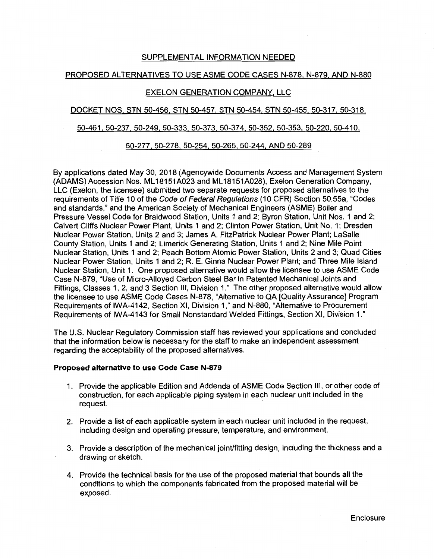# SUPPLEMENTAL INFORMATION NEEDED

# PROPOSED ALTERNATIVES TO USE ASME CODE CASES N-878, N-879, AND N-880

# EXELON GENERATION COMPANY, LLC

# DOCKET NOS. STN 50-456, STN 50-457. STN 50-454, STN 50-455. 50-317. 50-318.

#### 50-461, 50-237. 50-249, 50-333, 50-373, 50-374. 50-352, 50-353, 50-220. 50-410.

## 50-277. 50-278. 50-254. 50-265, 50-244, AND 50-289

By applications dated May 30, 2018 (Agencywide Documents Access and Management System (ADAMS) Accession Nos. ML 18151A023 and ML 18151A028), Exelon Generation Company, LLC (Exelon, the licensee) submitted two separate requests for proposed alternatives to the requirements of Title 10 of the Code of Federal Regulations (10 CFR) Section 50.55a, "Codes and standards," and the American Society of Mechanical Engineers (ASME) Boiler and Pressure Vessel Code for Braidwood Station, Units 1 and 2; Byron Station, Unit Nos. 1 and 2; Calvert Cliffs Nuclear Power Plant, Units 1 and 2; Clinton Power Station, Unit No. 1; Dresden Nuclear Power Station, Units 2 and 3; James A. FitzPatrick Nuclear Power Plant; LaSalle County Station, Units 1 and 2; Limerick Generating Station, Units 1 and 2; Nine Mile Point Nuclear Station, Units 1 and 2; Peach Bottom Atomic Power Station, Units 2 and 3; Quad Cities Nuclear Power Station, Units 1 and 2; R. E. Ginna Nuclear Power Plant; and Three Mile Island Nuclear Station, Unit 1. One proposed alternative would allow the licensee to use ASME Code Case N-879, "Use of Micro-Alloyed Carbon Steel Bar in Patented Mechanical Joints and Fittings, Classes 1, 2, and 3 Section Ill, Division 1." The other proposed alternative would allow the licensee to use ASME Code Cases N-878, "Alternative to QA [Quality Assurance] Program Requirements of IWA-4142, Section XI, Division 1," and N-880, "Alternative to Procurement Requirements of IWA-4143 for Small Nonstandard Welded Fittings, Section XI, Division 1."

The U.S. Nuclear Regulatory Commission staff has reviewed your applications and concluded that the information below is necessary for the staff to make an independent assessment regarding the acceptability of the proposed alternatives.

#### **Proposed alternative to use Code Case N-879**

- 1. Provide the applicable Edition and Addenda of ASME Code Section Ill, or other code of construction, for each applicable piping system in each nuclear unit included in the request.
- 2. Provide a list of each applicable system in each nuclear unit included in the request, including design and operating pressure, temperature, and environment.
- 3. Provide a description of the mechanical joint/fitting design, including the thickness and a drawing or sketch.
- 4. Provide the technical basis for the use of the proposed material that bounds all the conditions to which the components fabricated from the proposed material will be exposed.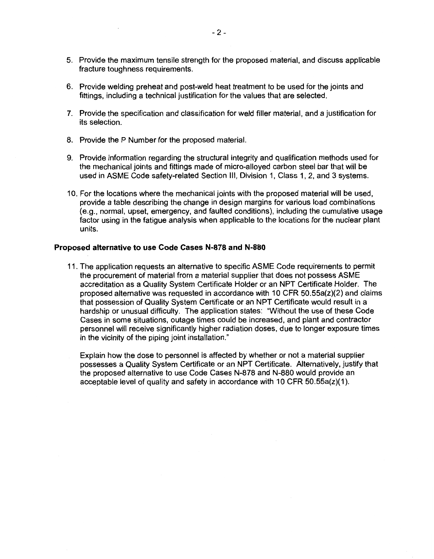- 5. Provide the maximum tensile strength for the proposed material, and discuss applicable fracture toughness requirements.
- 6. Provide welding preheat and post-weld heat treatment to be used for the joints and fittings, including a technical justification for the values that are selected.
- 7. Provide the specification and classification for weld filler material, and a justification for its selection.
- 8. Provide the P Number for the proposed material.
- 9. Provide information regarding the structural integrity and qualification methods used for the mechanical joints and fittings made of micro-alloyed carbon steel bar that will be used in ASME Code safety-related Section Ill, Division 1, Class 1, 2, and 3 systems.
- 10. For the locations where the mechanical joints with the proposed material will be used, provide a table describing the change in design margins for various load combinations (e.g., normal, upset, emergency, and faulted conditions), including the cumulative usage factor using in the fatigue analysis when applicable to the locations for the nuclear plant units.

#### **Proposed alternative to use Code Cases N-878 and N-880**

- 11. The application requests an alternative to specific ASME Code requirements to permit the procurement of material from a material supplier that does not possess ASME accreditation as a Quality System Certificate Holder or an NPT Certificate Holder. The proposed alternative was requested in accordance with 10 CFR  $50.55a(z)(2)$  and claims that possession of Quality System Certificate or an NPT Certificate would result in a hardship or unusual difficulty. The application states: "Without the use of these Code Cases in some situations, outage times could be increased, and plant and contractor personnel will receive significantly higher radiation doses, due to longer exposure times in the vicinity of the piping joint installation."
	- Explain how the dose to personnel is affected by whether or not a material supplier possesses a Quality System Certificate or an NPT Certificate. Alternatively, justify that the proposed alternative to use Code Cases N-878 and N-880 would provide an acceptable level of quality and safety in accordance with 10 CFR  $50.55a(z)(1)$ .